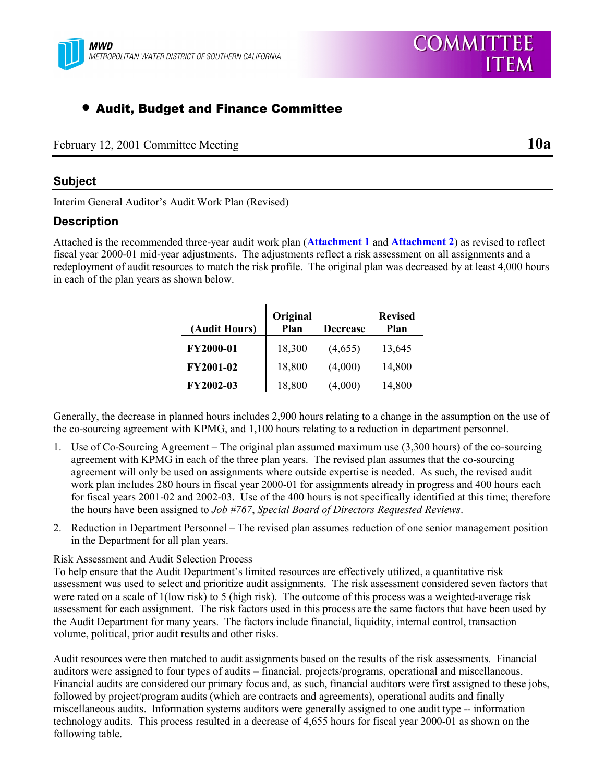

### • Audit, Budget and Finance Committee

| February 12, 2001 Committee Meeting | <b>10a</b> |
|-------------------------------------|------------|
|                                     |            |

**COMMITTEE** 

**ITEM** 

#### **Subject**

Interim General Auditor's Audit Work Plan (Revised)

#### **Description**

Attached is the recommended three-year audit work plan (**Attachment 1** and **Attachment 2**) as revised to reflect fiscal year 2000-01 mid-year adjustments. The adjustments reflect a risk assessment on all assignments and a redeployment of audit resources to match the risk profile. The original plan was decreased by at least 4,000 hours in each of the plan years as shown below.

| (Audit Hours) | Original<br>Plan | <b>Decrease</b> | <b>Revised</b><br>Plan |
|---------------|------------------|-----------------|------------------------|
| FY2000-01     | 18,300           | (4,655)         | 13,645                 |
| FY2001-02     | 18,800           | (4,000)         | 14,800                 |
| FY2002-03     | 18,800           | (4,000)         | 14,800                 |

Generally, the decrease in planned hours includes 2,900 hours relating to a change in the assumption on the use of the co-sourcing agreement with KPMG, and 1,100 hours relating to a reduction in department personnel.

- 1. Use of Co-Sourcing Agreement The original plan assumed maximum use (3,300 hours) of the co-sourcing agreement with KPMG in each of the three plan years. The revised plan assumes that the co-sourcing agreement will only be used on assignments where outside expertise is needed. As such, the revised audit work plan includes 280 hours in fiscal year 2000-01 for assignments already in progress and 400 hours each for fiscal years 2001-02 and 2002-03. Use of the 400 hours is not specifically identified at this time; therefore the hours have been assigned to *Job #767*, *Special Board of Directors Requested Reviews*.
- 2. Reduction in Department Personnel The revised plan assumes reduction of one senior management position in the Department for all plan years.

#### Risk Assessment and Audit Selection Process

To help ensure that the Audit Department's limited resources are effectively utilized, a quantitative risk assessment was used to select and prioritize audit assignments. The risk assessment considered seven factors that were rated on a scale of 1(low risk) to 5 (high risk). The outcome of this process was a weighted-average risk assessment for each assignment. The risk factors used in this process are the same factors that have been used by the Audit Department for many years. The factors include financial, liquidity, internal control, transaction volume, political, prior audit results and other risks.

Audit resources were then matched to audit assignments based on the results of the risk assessments. Financial auditors were assigned to four types of audits – financial, projects/programs, operational and miscellaneous. Financial audits are considered our primary focus and, as such, financial auditors were first assigned to these jobs, followed by project/program audits (which are contracts and agreements), operational audits and finally miscellaneous audits. Information systems auditors were generally assigned to one audit type -- information technology audits. This process resulted in a decrease of 4,655 hours for fiscal year 2000-01 as shown on the following table.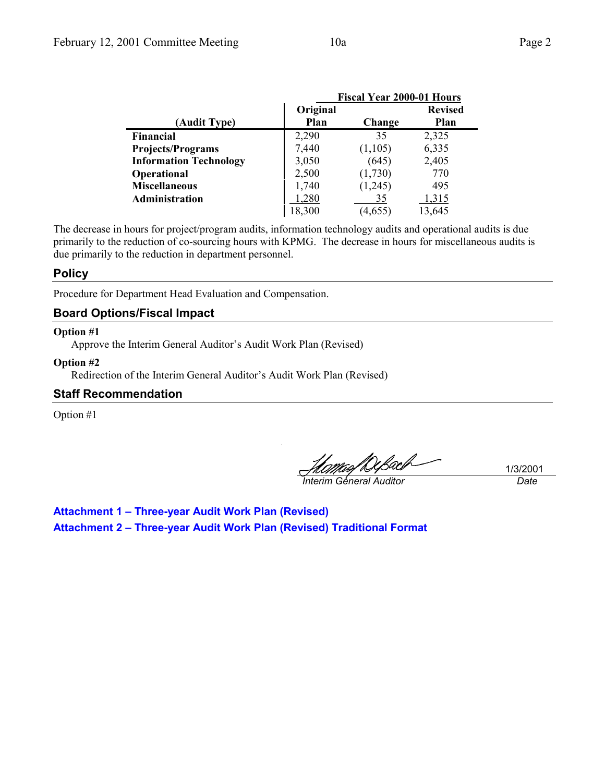|                               |          | <b>Fiscal Year 2000-01 Hours</b> |                |
|-------------------------------|----------|----------------------------------|----------------|
|                               | Original |                                  | <b>Revised</b> |
| (Audit Type)                  | Plan     | Change                           | Plan           |
| Financial                     | 2,290    | 35                               | 2,325          |
| <b>Projects/Programs</b>      | 7,440    | (1,105)                          | 6,335          |
| <b>Information Technology</b> | 3,050    | (645)                            | 2,405          |
| Operational                   | 2,500    | (1,730)                          | 770            |
| <b>Miscellaneous</b>          | 1,740    | (1,245)                          | 495            |
| Administration                | 1,280    | 35                               | 1,315          |
|                               | 18,300   | (4,655)                          | 13,645         |

The decrease in hours for project/program audits, information technology audits and operational audits is due primarily to the reduction of co-sourcing hours with KPMG. The decrease in hours for miscellaneous audits is due primarily to the reduction in department personnel.

#### **Policy**

Procedure for Department Head Evaluation and Compensation.

### **Board Options/Fiscal Impact**

#### **Option #1**

Approve the Interim General Auditor's Audit Work Plan (Revised)

#### **Option #2**

Redirection of the Interim General Auditor's Audit Work Plan (Revised)

#### **Staff Recommendation**

Option #1

*Interim General Auditor Date*

1/3/2001

**Attachment 1 – Three-year Audit Work Plan (Revised) Attachment 2 – Three-year Audit Work Plan (Revised) Traditional Format**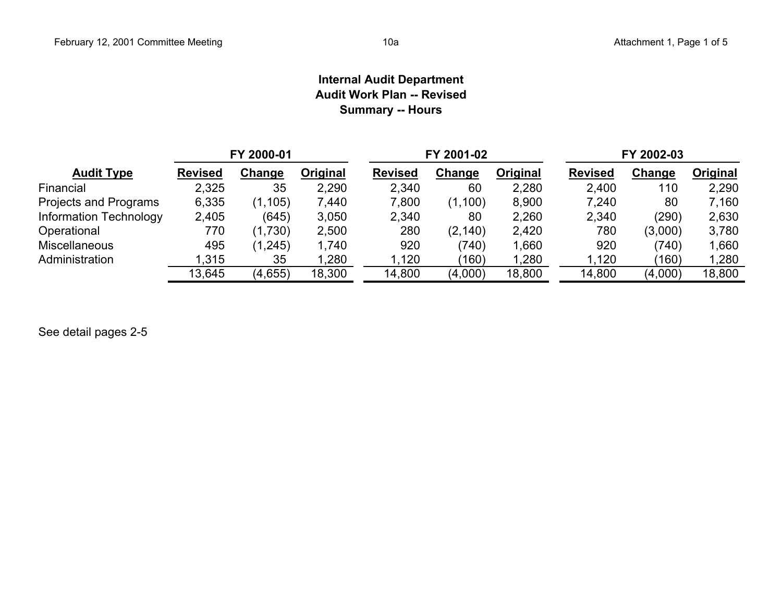### **Internal Audit Department Audit Work Plan -- RevisedSummary -- Hours**

|                               |                | FY 2000-01 |          |                | FY 2001-02 |          | FY 2002-03     |         |          |  |  |
|-------------------------------|----------------|------------|----------|----------------|------------|----------|----------------|---------|----------|--|--|
| <b>Audit Type</b>             | <b>Revised</b> | Change     | Original | <b>Revised</b> | Change     | Original | <b>Revised</b> | Change  | Original |  |  |
| Financial                     | 2,325          | 35         | 2,290    | 2,340          | 60         | 2,280    | 2,400          | 110     | 2,290    |  |  |
| Projects and Programs         | 6,335          | (1, 105)   | 7,440    | 7,800          | (1,100)    | 8,900    | 7,240          | 80      | 7,160    |  |  |
| <b>Information Technology</b> | 2,405          | (645)      | 3,050    | 2,340          | 80         | 2,260    | 2,340          | (290)   | 2,630    |  |  |
| Operational                   | 770            | (1,730)    | 2,500    | 280            | (2, 140)   | 2,420    | 780            | (3,000) | 3,780    |  |  |
| <b>Miscellaneous</b>          | 495            | (1, 245)   | 1,740    | 920            | (740)      | 1,660    | 920            | (740)   | 1,660    |  |  |
| Administration                | 1,315          | 35         | 1,280    | 1,120          | (160)      | 1,280    | 1,120          | (160)   | 1,280    |  |  |
|                               | 13,645         | (4,655)    | 18,300   | 14,800         | (4,000)    | 18,800   | 14,800         | (4,000) | 18,800   |  |  |

See detail pages 2-5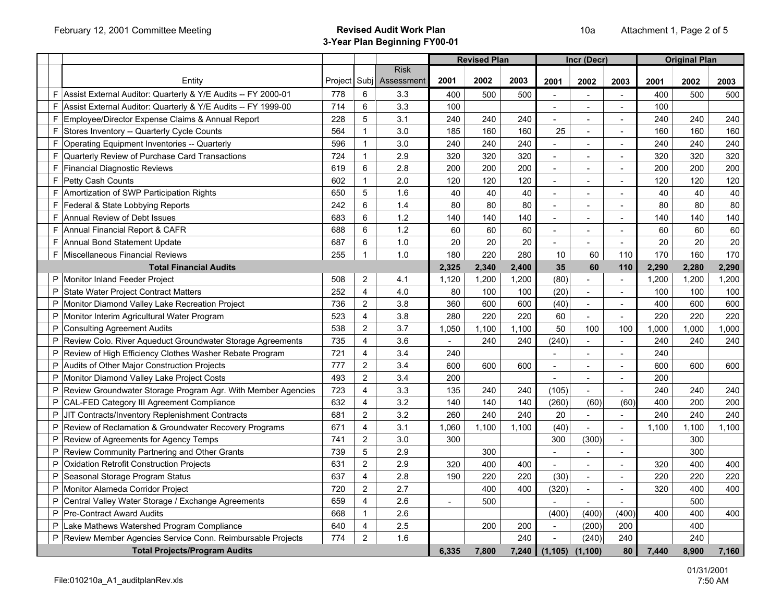|                                                                   |         |                         |                                |                | <b>Revised Plan</b> |       |                | Incr (Decr)    |                             |       | <b>Original Plan</b> |       |
|-------------------------------------------------------------------|---------|-------------------------|--------------------------------|----------------|---------------------|-------|----------------|----------------|-----------------------------|-------|----------------------|-------|
| Entity                                                            | Project |                         | <b>Risk</b><br>Subj Assessment | 2001           | 2002                | 2003  | 2001           | 2002           | 2003                        | 2001  | 2002                 | 2003  |
| F Assist External Auditor: Quarterly & Y/E Audits -- FY 2000-01   | 778     | 6                       | 3.3                            | 400            | 500                 | 500   |                | $\overline{a}$ |                             | 400   | 500                  | 500   |
| F Assist External Auditor: Quarterly & Y/E Audits -- FY 1999-00   | 714     | 6                       | 3.3                            | 100            |                     |       | $\blacksquare$ | $\blacksquare$ | $\sim$                      | 100   |                      |       |
| F<br>Employee/Director Expense Claims & Annual Report             | 228     | 5                       | 3.1                            | 240            | 240                 | 240   |                | $\blacksquare$ |                             | 240   | 240                  | 240   |
| F<br>Stores Inventory -- Quarterly Cycle Counts                   | 564     | $\mathbf{1}$            | 3.0                            | 185            | 160                 | 160   | 25             | $\blacksquare$ | $\sim$                      | 160   | 160                  | 160   |
| F<br>Operating Equipment Inventories -- Quarterly                 | 596     | $\mathbf{1}$            | 3.0                            | 240            | 240                 | 240   | $\blacksquare$ | $\blacksquare$ | $\overline{\phantom{a}}$    | 240   | 240                  | 240   |
| Quarterly Review of Purchase Card Transactions<br>F               | 724     | $\mathbf{1}$            | 2.9                            | 320            | 320                 | 320   |                | $\blacksquare$ |                             | 320   | 320                  | 320   |
| <b>Financial Diagnostic Reviews</b><br>F                          | 619     | 6                       | 2.8                            | 200            | 200                 | 200   | $\overline{a}$ | $\overline{a}$ |                             | 200   | 200                  | 200   |
| F<br>Petty Cash Counts                                            | 602     | $\mathbf{1}$            | 2.0                            | 120            | 120                 | 120   | $\overline{a}$ | $\sim$         | $\sim$                      | 120   | 120                  | 120   |
| F Amortization of SWP Participation Rights                        | 650     | 5                       | 1.6                            | 40             | 40                  | 40    |                | $\blacksquare$ |                             | 40    | 40                   | 40    |
| F Federal & State Lobbying Reports                                | 242     | 6                       | 1.4                            | 80             | 80                  | 80    | $\overline{a}$ | $\overline{a}$ | $\sim$                      | 80    | 80                   | 80    |
| Annual Review of Debt Issues<br>F                                 | 683     | 6                       | 1.2                            | 140            | 140                 | 140   | $\overline{a}$ | $\blacksquare$ | $\blacksquare$              | 140   | 140                  | 140   |
| F<br>Annual Financial Report & CAFR                               | 688     | 6                       | 1.2                            | 60             | 60                  | 60    |                |                |                             | 60    | 60                   | 60    |
| Annual Bond Statement Update<br>F                                 | 687     | 6                       | 1.0                            | 20             | 20                  | 20    | ÷.             |                |                             | 20    | 20                   | 20    |
| F Miscellaneous Financial Reviews                                 | 255     | $\mathbf{1}$            | 1.0                            | 180            | 220                 | 280   | 10             | 60             | 110                         | 170   | 160                  | 170   |
| <b>Total Financial Audits</b>                                     |         |                         |                                | 2,325          | 2,340               | 2,400 | 35             | 60             | 110                         | 2,290 | 2,280                | 2,290 |
| P Monitor Inland Feeder Project                                   | 508     | 2                       | 4.1                            | 1,120          | 1,200               | 1,200 | (80)           | $\overline{a}$ | $\mathcal{L}^{\mathcal{A}}$ | 1,200 | 1,200                | 1,200 |
| P<br>State Water Project Contract Matters                         | 252     | $\overline{4}$          | 4.0                            | 80             | 100                 | 100   | (20)           | $\blacksquare$ | $\sim$                      | 100   | 100                  | 100   |
| P Monitor Diamond Valley Lake Recreation Project                  | 736     | 2                       | 3.8                            | 360            | 600                 | 600   | (40)           | $\blacksquare$ | $\sim$                      | 400   | 600                  | 600   |
| P<br>Monitor Interim Agricultural Water Program                   | 523     | $\overline{4}$          | 3.8                            | 280            | 220                 | 220   | 60             | $\mathbf{r}$   |                             | 220   | 220                  | 220   |
| Consulting Agreement Audits<br>P                                  | 538     | $\overline{2}$          | 3.7                            | 1,050          | 1,100               | 1,100 | 50             | 100            | 100                         | 1,000 | 1,000                | 1,000 |
| P Review Colo. River Aqueduct Groundwater Storage Agreements      | 735     | $\overline{4}$          | 3.6                            |                | 240                 | 240   | (240)          | $\blacksquare$ |                             | 240   | 240                  | 240   |
| P<br>Review of High Efficiency Clothes Washer Rebate Program      | 721     | $\overline{4}$          | 3.4                            | 240            |                     |       | $\overline{a}$ | $\sim$         |                             | 240   |                      |       |
| Audits of Other Major Construction Projects<br>P                  | 777     | $\overline{2}$          | 3.4                            | 600            | 600                 | 600   | $\blacksquare$ | $\blacksquare$ | $\sim$                      | 600   | 600                  | 600   |
| P Monitor Diamond Valley Lake Project Costs                       | 493     | $\overline{2}$          | 3.4                            | 200            |                     |       |                | $\sim$         |                             | 200   |                      |       |
| P<br>Review Groundwater Storage Program Agr. With Member Agencies | 723     | $\overline{4}$          | 3.3                            | 135            | 240                 | 240   | (105)          | $\overline{a}$ |                             | 240   | 240                  | 240   |
| CAL-FED Category III Agreement Compliance<br>P                    | 632     | $\overline{4}$          | 3.2                            | 140            | 140                 | 140   | (260)          | (60)           | (60)                        | 400   | 200                  | 200   |
| JIT Contracts/Inventory Replenishment Contracts<br>P              | 681     | $\overline{2}$          | 3.2                            | 260            | 240                 | 240   | 20             | $\blacksquare$ |                             | 240   | 240                  | 240   |
| P<br>Review of Reclamation & Groundwater Recovery Programs        | 671     | $\overline{\mathbf{4}}$ | 3.1                            | 1,060          | 1,100               | 1,100 | (40)           | $\overline{a}$ | $\blacksquare$              | 1,100 | 1,100                | 1,100 |
| Review of Agreements for Agency Temps<br>P                        | 741     | $\overline{2}$          | 3.0                            | 300            |                     |       | 300            | (300)          | $\blacksquare$              |       | 300                  |       |
| Review Community Partnering and Other Grants<br>P                 | 739     | $\overline{5}$          | 2.9                            |                | 300                 |       |                | $\overline{a}$ |                             |       | 300                  |       |
| <b>Oxidation Retrofit Construction Projects</b><br>P              | 631     | $\overline{2}$          | 2.9                            | 320            | 400                 | 400   | $\sim$         | $\overline{a}$ |                             | 320   | 400                  | 400   |
| Seasonal Storage Program Status<br>P                              | 637     | $\overline{4}$          | 2.8                            | 190            | 220                 | 220   | (30)           | $\blacksquare$ | $\sim$                      | 220   | 220                  | 220   |
| P Monitor Alameda Corridor Project                                | 720     | $\overline{2}$          | 2.7                            |                | 400                 | 400   | (320)          | $\mathbf{r}$   | $\sim$                      | 320   | 400                  | 400   |
| Central Valley Water Storage / Exchange Agreements<br>P           | 659     | $\overline{4}$          | 2.6                            | $\overline{a}$ | 500                 |       |                | $\overline{a}$ | $\sim$                      |       | 500                  |       |
| <b>Pre-Contract Award Audits</b><br>P                             | 668     | $\mathbf{1}$            | 2.6                            |                |                     |       | (400)          | (400)          | (400)                       | 400   | 400                  | 400   |
| P Lake Mathews Watershed Program Compliance                       | 640     | $\overline{4}$          | 2.5                            |                | 200                 | 200   | $\blacksquare$ | (200)          | 200                         |       | 400                  |       |
| P Review Member Agencies Service Conn. Reimbursable Projects      | 774     | $\overline{2}$          | 1.6                            |                |                     | 240   |                | (240)          | 240                         |       | 240                  |       |
| <b>Total Projects/Program Audits</b>                              |         |                         |                                | 6,335          | 7,800               | 7,240 | (1, 105)       | (1, 100)       | 80                          | 7,440 | 8,900                | 7,160 |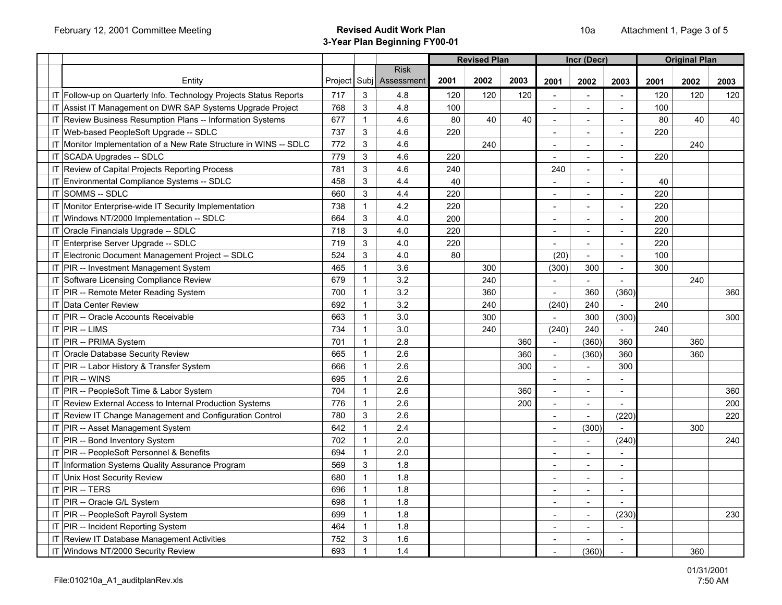|                                                                    |     |              |                                        |      | <b>Revised Plan</b> |      |                          | Incr (Decr)    |                          |      | <b>Original Plan</b> |      |
|--------------------------------------------------------------------|-----|--------------|----------------------------------------|------|---------------------|------|--------------------------|----------------|--------------------------|------|----------------------|------|
| Entity                                                             |     |              | <b>Risk</b><br>Project Subj Assessment | 2001 | 2002                | 2003 | 2001                     | 2002           | 2003                     | 2001 | 2002                 | 2003 |
| IT Follow-up on Quarterly Info. Technology Projects Status Reports | 717 | 3            | 4.8                                    | 120  | 120                 | 120  |                          |                |                          | 120  | 120                  | 120  |
| IT Assist IT Management on DWR SAP Systems Upgrade Project         | 768 | 3            | 4.8                                    | 100  |                     |      | $\overline{a}$           | $\overline{a}$ | $\sim$                   | 100  |                      |      |
| IT Review Business Resumption Plans -- Information Systems         | 677 | $\mathbf{1}$ | 4.6                                    | 80   | 40                  | 40   | $\blacksquare$           | $\mathbf{r}$   | $\sim$                   | 80   | 40                   | 40   |
| IT Web-based PeopleSoft Upgrade -- SDLC                            | 737 | 3            | 4.6                                    | 220  |                     |      |                          | $\overline{a}$ | $\overline{a}$           | 220  |                      |      |
| IT Monitor Implementation of a New Rate Structure in WINS -- SDLC  | 772 | 3            | 4.6                                    |      | 240                 |      |                          | $\overline{a}$ | $\sim$                   |      | 240                  |      |
| IT SCADA Upgrades -- SDLC                                          | 779 | 3            | 4.6                                    | 220  |                     |      | $\blacksquare$           | $\blacksquare$ | $\sim$                   | 220  |                      |      |
| IT Review of Capital Projects Reporting Process                    | 781 | 3            | 4.6                                    | 240  |                     |      | 240                      | $\blacksquare$ | $\sim$                   |      |                      |      |
| IT Environmental Compliance Systems -- SDLC                        | 458 | 3            | 4.4                                    | 40   |                     |      |                          | $\overline{a}$ |                          | 40   |                      |      |
| IT SOMMS -- SDLC                                                   | 660 | 3            | 4.4                                    | 220  |                     |      | $\blacksquare$           | $\blacksquare$ | $\sim$                   | 220  |                      |      |
| IT Monitor Enterprise-wide IT Security Implementation              | 738 | $\mathbf{1}$ | 4.2                                    | 220  |                     |      |                          |                |                          | 220  |                      |      |
| IT Windows NT/2000 Implementation -- SDLC                          | 664 | 3            | 4.0                                    | 200  |                     |      | $\overline{\phantom{a}}$ | $\blacksquare$ | $\blacksquare$           | 200  |                      |      |
| IT Oracle Financials Upgrade -- SDLC                               | 718 | 3            | 4.0                                    | 220  |                     |      | $\blacksquare$           | $\blacksquare$ | $\blacksquare$           | 220  |                      |      |
| IT Enterprise Server Upgrade -- SDLC                               | 719 | 3            | 4.0                                    | 220  |                     |      |                          | $\overline{a}$ | $\blacksquare$           | 220  |                      |      |
| IT Electronic Document Management Project -- SDLC                  | 524 | 3            | 4.0                                    | 80   |                     |      | (20)                     | $\blacksquare$ | $\sim$                   | 100  |                      |      |
| IT PIR -- Investment Management System                             | 465 | $\mathbf{1}$ | 3.6                                    |      | 300                 |      | (300)                    | 300            | $\sim$                   | 300  |                      |      |
| IT Software Licensing Compliance Review                            | 679 | $\mathbf{1}$ | 3.2                                    |      | 240                 |      |                          |                |                          |      | 240                  |      |
| IT PIR -- Remote Meter Reading System                              | 700 | $\mathbf{1}$ | 3.2                                    |      | 360                 |      | $\blacksquare$           | 360            | (360)                    |      |                      | 360  |
| <b>IT Data Center Review</b>                                       | 692 | $\mathbf{1}$ | 3.2                                    |      | 240                 |      | (240)                    | 240            | $\blacksquare$           | 240  |                      |      |
| IT PIR -- Oracle Accounts Receivable                               | 663 | $\mathbf{1}$ | 3.0                                    |      | 300                 |      |                          | 300            | (300)                    |      |                      | 300  |
| $IT$ PIR -- LIMS                                                   | 734 | $\mathbf{1}$ | 3.0                                    |      | 240                 |      | (240)                    | 240            | $\overline{\phantom{a}}$ | 240  |                      |      |
| IT PIR -- PRIMA System                                             | 701 | $\mathbf{1}$ | 2.8                                    |      |                     | 360  |                          | (360)          | 360                      |      | 360                  |      |
| IT Oracle Database Security Review                                 | 665 | $\mathbf{1}$ | 2.6                                    |      |                     | 360  | $\overline{a}$           | (360)          | 360                      |      | 360                  |      |
| IT PIR -- Labor History & Transfer System                          | 666 | $\mathbf{1}$ | 2.6                                    |      |                     | 300  | $\blacksquare$           | $\mathbf{r}$   | 300                      |      |                      |      |
| $IT$ PIR -- WINS                                                   | 695 | $\mathbf{1}$ | 2.6                                    |      |                     |      |                          | $\blacksquare$ | $\blacksquare$           |      |                      |      |
| IT PIR -- PeopleSoft Time & Labor System                           | 704 | $\mathbf{1}$ | 2.6                                    |      |                     | 360  | L.                       | ÷              | $\blacksquare$           |      |                      | 360  |
| IT Review External Access to Internal Production Systems           | 776 | $\mathbf{1}$ | 2.6                                    |      |                     | 200  | $\overline{a}$           | ÷,             |                          |      |                      | 200  |
| IT Review IT Change Management and Configuration Control           | 780 | 3            | 2.6                                    |      |                     |      |                          |                | (220)                    |      |                      | 220  |
| IT PIR -- Asset Management System                                  | 642 | $\mathbf{1}$ | 2.4                                    |      |                     |      | $\overline{a}$           | (300)          |                          |      | 300                  |      |
| IT PIR -- Bond Inventory System                                    | 702 | $\mathbf{1}$ | 2.0                                    |      |                     |      | $\sim$                   | $\mathbf{r}$   | (240)                    |      |                      | 240  |
| IT PIR -- PeopleSoft Personnel & Benefits                          | 694 | $\mathbf{1}$ | 2.0                                    |      |                     |      | $\blacksquare$           | $\blacksquare$ |                          |      |                      |      |
| IT Information Systems Quality Assurance Program                   | 569 | 3            | 1.8                                    |      |                     |      | ٠                        | ÷.             | $\sim$                   |      |                      |      |
| IT Unix Host Security Review                                       | 680 | $\mathbf{1}$ | 1.8                                    |      |                     |      | $\blacksquare$           | $\sim$         | $\sim$                   |      |                      |      |
| IT $ PIR - TERS$                                                   | 696 | $\mathbf{1}$ | 1.8                                    |      |                     |      | ÷,                       | $\sim$         | $\sim$                   |      |                      |      |
| IT PIR -- Oracle G/L System                                        | 698 | $\mathbf{1}$ | 1.8                                    |      |                     |      |                          | $\overline{a}$ |                          |      |                      |      |
| IT PIR -- PeopleSoft Payroll System                                | 699 | $\mathbf{1}$ | 1.8                                    |      |                     |      | $\sim$                   | $\blacksquare$ | (230)                    |      |                      | 230  |
| IT PIR -- Incident Reporting System                                | 464 | $\mathbf{1}$ | 1.8                                    |      |                     |      | $\overline{\phantom{a}}$ | $\blacksquare$ | $\blacksquare$           |      |                      |      |
| IT Review IT Database Management Activities                        | 752 | 3            | 1.6                                    |      |                     |      | ٠                        | ÷.             | $\sim$                   |      |                      |      |
| IT Windows NT/2000 Security Review                                 | 693 | $\mathbf{1}$ | 1.4                                    |      |                     |      |                          | (360)          |                          |      | 360                  |      |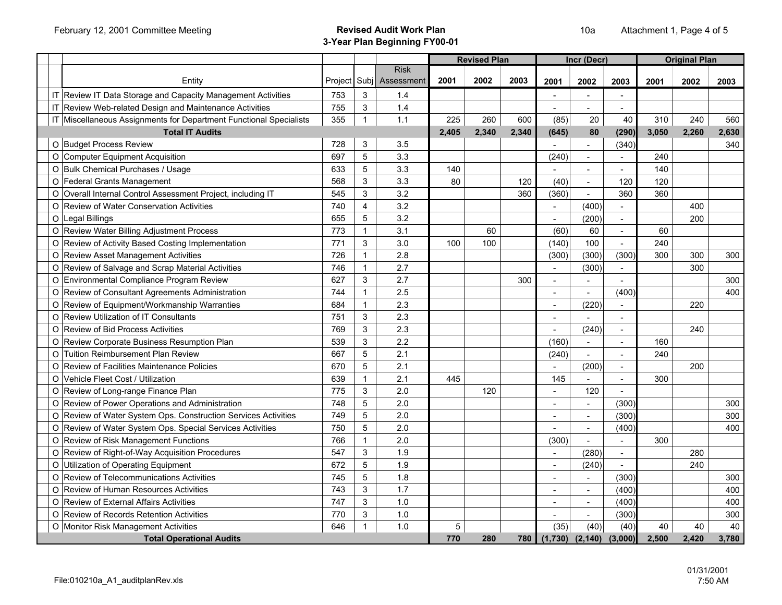|                                                   |                                                                    |            |                |                                |            | <b>Revised Plan</b> |       |                             | Incr (Decr)              |                                  |       | <b>Original Plan</b> |              |
|---------------------------------------------------|--------------------------------------------------------------------|------------|----------------|--------------------------------|------------|---------------------|-------|-----------------------------|--------------------------|----------------------------------|-------|----------------------|--------------|
|                                                   | Entity                                                             | Project    |                | <b>Risk</b><br>Subj Assessment | 2001       | 2002                | 2003  | 2001                        | 2002                     | 2003                             | 2001  | 2002                 | 2003         |
|                                                   | IT Review IT Data Storage and Capacity Management Activities       | 753        | 3              | 1.4                            |            |                     |       |                             |                          |                                  |       |                      |              |
|                                                   | IT Review Web-related Design and Maintenance Activities            | 755        | $\mathbf{3}$   | 1.4                            |            |                     |       | $\sim$                      | $\overline{\phantom{a}}$ | $\blacksquare$<br>$\overline{a}$ |       |                      |              |
|                                                   | IT Miscellaneous Assignments for Department Functional Specialists | 355        | $\mathbf{1}$   | 1.1                            | 225        | 260                 | 600   |                             |                          | 40                               | 310   | 240                  |              |
|                                                   | <b>Total IT Audits</b>                                             |            |                |                                | 2.405      | 2,340               | 2.340 | (85)<br>(645)               | 20<br>80                 | (290)                            | 3,050 | 2.260                | 560<br>2,630 |
| O Budget Process Review                           |                                                                    | 728        | 3              | 3.5                            |            |                     |       |                             | $\blacksquare$           | (340)                            |       |                      | 340          |
|                                                   |                                                                    | 697        | 5              | 3.3                            |            |                     |       | (240)                       | $\blacksquare$           |                                  | 240   |                      |              |
| O Computer Equipment Acquisition                  |                                                                    |            | $\sqrt{5}$     | 3.3                            |            |                     |       |                             |                          |                                  | 140   |                      |              |
| O Bulk Chemical Purchases / Usage                 |                                                                    | 633<br>568 | $\mathbf{3}$   | 3.3                            | 140        |                     |       | (40)                        |                          |                                  |       |                      |              |
| O Federal Grants Management                       |                                                                    |            |                | 3.2                            | 80         |                     | 120   |                             | $\mathbf{r}$             | 120                              | 120   |                      |              |
|                                                   | O Overall Internal Control Assessment Project, including IT        | 545        | 3              |                                |            |                     | 360   | (360)                       | $\overline{a}$           | 360                              | 360   |                      |              |
| O Review of Water Conservation Activities         |                                                                    | 740        | $\overline{4}$ | 3.2                            |            |                     |       |                             | (400)                    |                                  |       | 400                  |              |
| O Legal Billings                                  |                                                                    | 655        | 5              | 3.2                            |            |                     |       |                             | (200)                    | $\blacksquare$                   |       | 200                  |              |
| O Review Water Billing Adjustment Process         |                                                                    | 773        | $\mathbf{1}$   | 3.1                            |            | 60                  |       | (60)                        | 60                       |                                  | 60    |                      |              |
| O Review of Activity Based Costing Implementation |                                                                    | 771        | 3              | 3.0                            | 100        | 100                 |       | (140)                       | 100                      | $\sim$                           | 240   |                      |              |
| O Review Asset Management Activities              |                                                                    | 726        | $\mathbf{1}$   | 2.8                            |            |                     |       | (300)                       | (300)                    | (300)                            | 300   | 300                  | 300          |
| O Review of Salvage and Scrap Material Activities |                                                                    | 746        | $\mathbf{1}$   | 2.7                            |            |                     |       |                             | (300)                    | $\blacksquare$                   |       | 300                  |              |
| O Environmental Compliance Program Review         |                                                                    | 627        | 3              | 2.7                            |            |                     | 300   | $\overline{a}$              | $\overline{\phantom{0}}$ |                                  |       |                      | 300          |
| O Review of Consultant Agreements Administration  |                                                                    | 744        | $\mathbf{1}$   | 2.5                            |            |                     |       | $\blacksquare$              | $\overline{a}$           | (400)                            |       |                      | 400          |
| O Review of Equipment/Workmanship Warranties      |                                                                    | 684        | $\mathbf{1}$   | 2.3                            |            |                     |       | L,                          | (220)                    |                                  |       | 220                  |              |
| O Review Utilization of IT Consultants            |                                                                    | 751        | 3              | 2.3                            |            |                     |       |                             |                          |                                  |       |                      |              |
| O Review of Bid Process Activities                |                                                                    | 769        | 3              | 2.3                            |            |                     |       |                             | (240)                    | $\blacksquare$                   |       | 240                  |              |
| O Review Corporate Business Resumption Plan       |                                                                    | 539        | $\mathbf{3}$   | 2.2                            |            |                     |       | (160)                       | $\blacksquare$           | $\overline{\phantom{a}}$         | 160   |                      |              |
| O Tuition Reimbursement Plan Review               |                                                                    | 667        | 5              | 2.1                            |            |                     |       | (240)                       | $\blacksquare$           | ٠                                | 240   |                      |              |
| O Review of Facilities Maintenance Policies       |                                                                    | 670        | $\sqrt{5}$     | 2.1                            |            |                     |       |                             | (200)                    | $\blacksquare$                   |       | 200                  |              |
| O Vehicle Fleet Cost / Utilization                |                                                                    | 639        | $\mathbf{1}$   | 2.1                            | 445        |                     |       | 145                         |                          | $\overline{a}$                   | 300   |                      |              |
| O Review of Long-range Finance Plan               |                                                                    | 775        | 3              | 2.0                            |            | 120                 |       | ÷,                          | 120                      | $\overline{a}$                   |       |                      |              |
| O Review of Power Operations and Administration   |                                                                    | 748        | $\overline{5}$ | 2.0                            |            |                     |       | $\blacksquare$              | $\blacksquare$           | (300)                            |       |                      | 300          |
|                                                   | O Review of Water System Ops. Construction Services Activities     | 749        | 5              | 2.0                            |            |                     |       | $\overline{\phantom{a}}$    | $\overline{\phantom{a}}$ | (300)                            |       |                      | 300          |
|                                                   | O Review of Water System Ops. Special Services Activities          | 750        | $\overline{5}$ | 2.0                            |            |                     |       |                             | $\overline{a}$           | (400)                            |       |                      | 400          |
| O Review of Risk Management Functions             |                                                                    | 766        | $\mathbf{1}$   | 2.0                            |            |                     |       | (300)                       | $\blacksquare$           | $\overline{a}$                   | 300   |                      |              |
| O Review of Right-of-Way Acquisition Procedures   |                                                                    | 547        | $\mathsf 3$    | 1.9                            |            |                     |       | $\sim$                      | (280)                    | $\blacksquare$                   |       | 280                  |              |
| O Utilization of Operating Equipment              |                                                                    | 672        | $\sqrt{5}$     | 1.9                            |            |                     |       | $\blacksquare$              | (240)                    |                                  |       | 240                  |              |
| O Review of Telecommunications Activities         |                                                                    | 745        | $\overline{5}$ | 1.8                            |            |                     |       |                             | $\equiv$                 | (300)                            |       |                      | 300          |
| O Review of Human Resources Activities            |                                                                    | 743        | $\mathbf{3}$   | 1.7                            |            |                     |       |                             | $\sim$                   | (400)                            |       |                      | 400          |
| O Review of External Affairs Activities           |                                                                    | 747        | 3              | 1.0                            |            |                     |       | ÷.                          | $\blacksquare$           | (400)                            |       |                      | 400          |
| O Review of Records Retention Activities          |                                                                    | 770        | 3              | 1.0                            |            |                     |       |                             | $\blacksquare$           | (300)                            |       |                      | 300          |
| O Monitor Risk Management Activities              |                                                                    | 646        | $\mathbf{1}$   | 1.0                            | $\sqrt{5}$ |                     |       | (35)                        | (40)                     | (40)                             | 40    | 40                   | 40           |
|                                                   | <b>Total Operational Audits</b>                                    |            |                |                                | 770        | 280                 |       | 780 (1,730) (2,140) (3,000) |                          |                                  | 2.500 | 2.420                | 3,780        |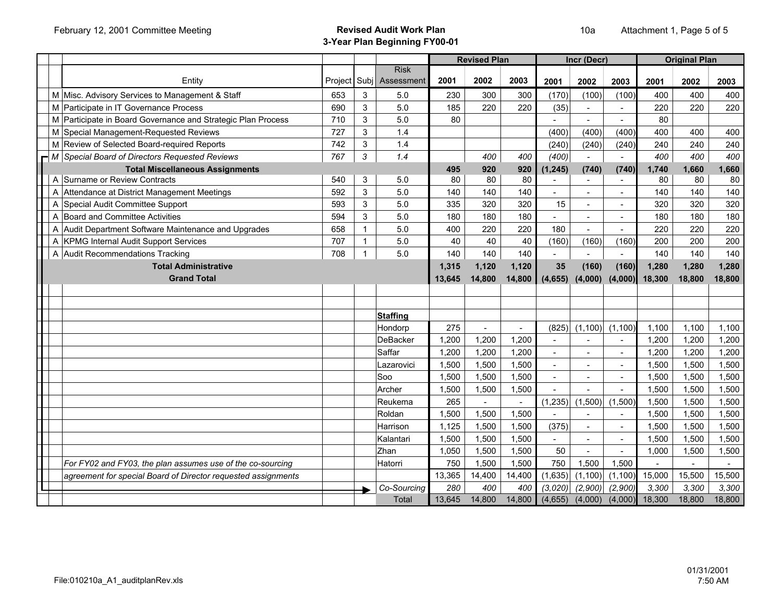|                                                               |         |              |                 |        | <b>Revised Plan</b> |        |          | Incr (Decr)    |                |        | <b>Original Plan</b> |        |
|---------------------------------------------------------------|---------|--------------|-----------------|--------|---------------------|--------|----------|----------------|----------------|--------|----------------------|--------|
|                                                               |         |              | <b>Risk</b>     |        |                     |        |          |                |                |        |                      |        |
| Entity                                                        | Project | Subi         | Assessment      | 2001   | 2002                | 2003   | 2001     | 2002           | 2003           | 2001   | 2002                 | 2003   |
| M Misc. Advisory Services to Management & Staff               | 653     | 3            | 5.0             | 230    | 300                 | 300    | (170)    | (100)          | (100)          | 400    | 400                  | 400    |
| M Participate in IT Governance Process                        | 690     | 3            | 5.0             | 185    | 220                 | 220    | (35)     | $\blacksquare$ |                | 220    | 220                  | 220    |
| M Participate in Board Governance and Strategic Plan Process  | 710     | 3            | 5.0             | 80     |                     |        |          | $\sim$         |                | 80     |                      |        |
| M Special Management-Requested Reviews                        | 727     | 3            | 1.4             |        |                     |        | (400)    | (400)          | (400)          | 400    | 400                  | 400    |
| M Review of Selected Board-required Reports                   | 742     | 3            | 1.4             |        |                     |        | (240)    | (240)          | (240)          | 240    | 240                  | 240    |
| M Special Board of Directors Requested Reviews                | 767     | 3            | 1.4             |        | 400                 | 400    | (400)    |                |                | 400    | 400                  | 400    |
| <b>Total Miscellaneous Assignments</b>                        |         |              |                 | 495    | 920                 | 920    | (1, 245) | (740)          | (740)          | 1,740  | 1,660                | 1,660  |
| A Surname or Review Contracts                                 | 540     | 3            | 5.0             | 80     | 80                  | 80     |          | $\sim$         | $\sim$         | 80     | 80                   | 80     |
| A Attendance at District Management Meetings                  | 592     | 3            | 5.0             | 140    | 140                 | 140    |          | $\blacksquare$ |                | 140    | 140                  | 140    |
| A Special Audit Committee Support                             | 593     | 3            | 5.0             | 335    | 320                 | 320    | 15       | $\sim$         |                | 320    | 320                  | 320    |
| A Board and Committee Activities                              | 594     | 3            | 5.0             | 180    | 180                 | 180    |          |                |                | 180    | 180                  | 180    |
| A Audit Department Software Maintenance and Upgrades          | 658     | $\mathbf 1$  | 5.0             | 400    | 220                 | 220    | 180      |                |                | 220    | 220                  | 220    |
| A KPMG Internal Audit Support Services                        | 707     | $\mathbf{1}$ | 5.0             | 40     | 40                  | 40     | (160)    | (160)          | (160)          | 200    | 200                  | 200    |
| A Audit Recommendations Tracking                              | 708     | 1            | 5.0             | 140    | 140                 | 140    |          |                |                | 140    | 140                  | 140    |
| <b>Total Administrative</b>                                   |         |              |                 | 1,315  | 1,120               | 1,120  | 35       | (160)          | (160)          | 1,280  | 1,280                | 1,280  |
| <b>Grand Total</b>                                            |         |              |                 | 13,645 | 14,800              | 14,800 | (4, 655) | (4,000)        | (4,000)        | 18,300 | 18,800               | 18,800 |
|                                                               |         |              |                 |        |                     |        |          |                |                |        |                      |        |
|                                                               |         |              |                 |        |                     |        |          |                |                |        |                      |        |
|                                                               |         |              | <b>Staffing</b> |        |                     |        |          |                |                |        |                      |        |
|                                                               |         |              | Hondorp         | 275    | $\overline{a}$      | $\sim$ | (825)    | (1, 100)       | (1, 100)       | 1.100  | 1.100                | 1.100  |
|                                                               |         |              | DeBacker        | 1,200  | 1,200               | 1.200  |          | $\blacksquare$ | $\blacksquare$ | 1,200  | 1,200                | 1,200  |
|                                                               |         |              | Saffar          | 1,200  | 1,200               | 1,200  | $\sim$   | $\blacksquare$ | $\blacksquare$ | 1,200  | 1,200                | 1,200  |
|                                                               |         |              | Lazarovici      | 1,500  | 1,500               | 1,500  |          | $\blacksquare$ |                | 1,500  | 1,500                | 1,500  |
|                                                               |         |              | Soo             | 1,500  | 1,500               | 1,500  | $\sim$   | $\overline{a}$ | $\sim$         | 1,500  | 1,500                | 1,500  |
|                                                               |         |              | Archer          | 1,500  | 1,500               | 1,500  |          |                |                | 1,500  | 1,500                | 1,500  |
|                                                               |         |              | Reukema         | 265    |                     | $\sim$ | (1, 235) | (1,500)        | (1,500)        | 1,500  | 1,500                | 1,500  |
|                                                               |         |              | Roldan          | 1,500  | 1,500               | 1,500  |          |                |                | 1,500  | 1,500                | 1,500  |
|                                                               |         |              | Harrison        | 1,125  | 1,500               | 1,500  | (375)    | $\blacksquare$ |                | 1,500  | 1,500                | 1,500  |
|                                                               |         |              | Kalantari       | 1,500  | 1,500               | 1,500  |          | $\blacksquare$ | $\blacksquare$ | 1,500  | 1,500                | 1,500  |
|                                                               |         |              | Zhan            | 1,050  | 1,500               | 1,500  | 50       |                |                | 1,000  | 1,500                | 1,500  |
| For FY02 and FY03, the plan assumes use of the co-sourcing    |         |              | Hatorri         | 750    | 1,500               | 1,500  | 750      | 1,500          | 1,500          |        |                      |        |
| agreement for special Board of Director requested assignments |         |              |                 | 13,365 | 14,400              | 14,400 | (1,635)  | (1, 100)       | (1, 100)       | 15,000 | 15,500               | 15,500 |
|                                                               |         |              | Co-Sourcing     | 280    | 400                 | 400    | (3,020)  | (2,900)        | (2,900)        | 3,300  | 3.300                | 3,300  |
|                                                               |         |              | Total           | 13.645 | 14.800              | 14.800 | (4.655)  | (4,000)        | (4.000)        | 18.300 | 18.800               | 18.800 |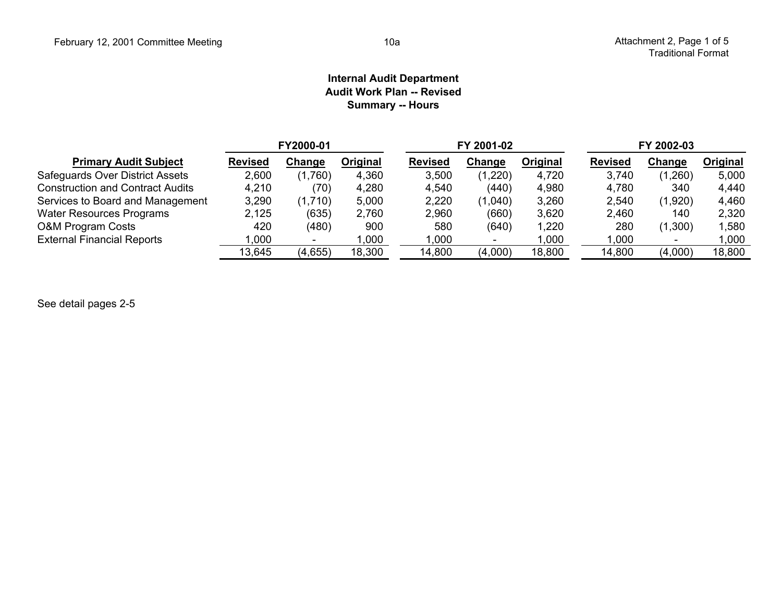#### **Internal Audit Department Audit Work Plan -- Revised Summary -- Hours**

|                                         |                | FY2000-01 |          |                | FY 2001-02 |          | FY 2002-03     |                          |          |  |  |
|-----------------------------------------|----------------|-----------|----------|----------------|------------|----------|----------------|--------------------------|----------|--|--|
| <b>Primary Audit Subject</b>            | <b>Revised</b> | Change    | Original | <b>Revised</b> | Change     | Original | <b>Revised</b> | Change                   | Original |  |  |
| Safeguards Over District Assets         | 2,600          | (1,760)   | 4,360    | 3,500          | (1,220)    | 4,720    | 3,740          | (1,260)                  | 5,000    |  |  |
| <b>Construction and Contract Audits</b> | 4,210          | (70)      | 4,280    | 4,540          | (440)      | 4,980    | 4,780          | 340                      | 4,440    |  |  |
| Services to Board and Management        | 3,290          | (1,710)   | 5,000    | 2,220          | (1,040)    | 3,260    | 2,540          | (1,920)                  | 4,460    |  |  |
| <b>Water Resources Programs</b>         | 2,125          | (635)     | 2,760    | 2,960          | (660)      | 3,620    | 2,460          | 140                      | 2,320    |  |  |
| <b>O&amp;M Program Costs</b>            | 420            | (480)     | 900      | 580            | (640)      | ,220     | 280            | (1,300)                  | 1,580    |  |  |
| <b>External Financial Reports</b>       | 000,1          |           | ,000     | 000.           |            | ,000     | .000           | $\overline{\phantom{0}}$ | 1,000    |  |  |
|                                         | 13,645         | (4,655)   | 18,300   | 14,800         | (4,000)    | 18,800   | 14,800         | (4,000)                  | 18,800   |  |  |

See detail pages 2-5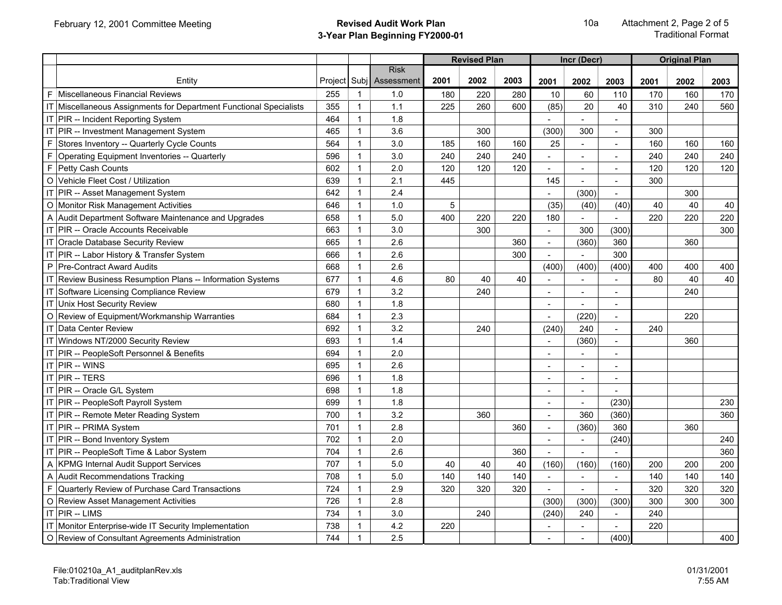|    |                                                                    |         |              |                                |      | <b>Revised Plan</b> |      |                          | Incr (Decr)    |                |      | <b>Original Plan</b> |      |
|----|--------------------------------------------------------------------|---------|--------------|--------------------------------|------|---------------------|------|--------------------------|----------------|----------------|------|----------------------|------|
|    | Entity                                                             | Project |              | <b>Risk</b><br>Subj Assessment | 2001 | 2002                | 2003 | 2001                     | 2002           | 2003           | 2001 | 2002                 | 2003 |
|    | <b>F</b> Miscellaneous Financial Reviews                           | 255     | $\mathbf{1}$ | 1.0                            | 180  | 220                 | 280  | 10                       | 60             | 110            | 170  | 160                  | 170  |
|    | IT Miscellaneous Assignments for Department Functional Specialists | 355     | $\mathbf{1}$ | 1.1                            | 225  | 260                 | 600  | (85)                     | 20             | 40             | 310  | 240                  | 560  |
|    | IT PIR -- Incident Reporting System                                | 464     | $\mathbf{1}$ | 1.8                            |      |                     |      |                          |                |                |      |                      |      |
|    | IT PIR -- Investment Management System                             | 465     | $\mathbf{1}$ | 3.6                            |      | 300                 |      | (300)                    | 300            | $\overline{a}$ | 300  |                      |      |
|    | F Stores Inventory -- Quarterly Cycle Counts                       | 564     | $\mathbf{1}$ | 3.0                            | 185  | 160                 | 160  | 25                       |                |                | 160  | 160                  | 160  |
| F. | Operating Equipment Inventories -- Quarterly                       | 596     | $\mathbf{1}$ | 3.0                            | 240  | 240                 | 240  | $\equiv$                 |                | $\sim$         | 240  | 240                  | 240  |
| E  | Petty Cash Counts                                                  | 602     | $\mathbf{1}$ | 2.0                            | 120  | 120                 | 120  | $\blacksquare$           |                | $\blacksquare$ | 120  | 120                  | 120  |
|    | O Vehicle Fleet Cost / Utilization                                 | 639     | $\mathbf{1}$ | 2.1                            | 445  |                     |      | 145                      | $\sim$         | $\blacksquare$ | 300  |                      |      |
|    | IT PIR -- Asset Management System                                  | 642     | $\mathbf{1}$ | 2.4                            |      |                     |      |                          | (300)          | $\sim$         |      | 300                  |      |
|    | O Monitor Risk Management Activities                               | 646     | $\mathbf{1}$ | 1.0                            | 5    |                     |      | (35)                     | (40)           | (40)           | 40   | 40                   | 40   |
|    | A Audit Department Software Maintenance and Upgrades               | 658     | $\mathbf{1}$ | 5.0                            | 400  | 220                 | 220  | 180                      |                | $\sim$         | 220  | 220                  | 220  |
|    | IT PIR -- Oracle Accounts Receivable                               | 663     | $\mathbf{1}$ | 3.0                            |      | 300                 |      | $\overline{a}$           | 300            | (300)          |      |                      | 300  |
|    | IT Oracle Database Security Review                                 | 665     | $\mathbf{1}$ | 2.6                            |      |                     | 360  | $\blacksquare$           | (360)          | 360            |      | 360                  |      |
|    | IT PIR -- Labor History & Transfer System                          | 666     | $\mathbf{1}$ | 2.6                            |      |                     | 300  |                          |                | 300            |      |                      |      |
|    | P Pre-Contract Award Audits                                        | 668     | $\mathbf{1}$ | 2.6                            |      |                     |      | (400)                    | (400)          | (400)          | 400  | 400                  | 400  |
|    | IT Review Business Resumption Plans -- Information Systems         | 677     | $\mathbf{1}$ | 4.6                            | 80   | 40                  | 40   | $\overline{a}$           |                | $\overline{a}$ | 80   | 40                   | 40   |
|    | IT Software Licensing Compliance Review                            | 679     | 1            | 3.2                            |      | 240                 |      | $\overline{\phantom{a}}$ |                | $\blacksquare$ |      | 240                  |      |
| IT | Unix Host Security Review                                          | 680     | $\mathbf{1}$ | 1.8                            |      |                     |      |                          |                |                |      |                      |      |
|    | O Review of Equipment/Workmanship Warranties                       | 684     | $\mathbf{1}$ | 2.3                            |      |                     |      |                          | (220)          | $\sim$         |      | 220                  |      |
|    | IT Data Center Review                                              | 692     | $\mathbf{1}$ | 3.2                            |      | 240                 |      | (240)                    | 240            | $\sim$         | 240  |                      |      |
|    | IT Windows NT/2000 Security Review                                 | 693     | $\mathbf{1}$ | 1.4                            |      |                     |      | $\blacksquare$           | (360)          | $\sim$         |      | 360                  |      |
|    | IT PIR -- PeopleSoft Personnel & Benefits                          | 694     | $\mathbf{1}$ | 2.0                            |      |                     |      |                          |                |                |      |                      |      |
|    | IT PIR -- WINS                                                     | 695     | $\mathbf{1}$ | 2.6                            |      |                     |      |                          |                |                |      |                      |      |
|    | IT PIR -- TERS                                                     | 696     | $\mathbf{1}$ | 1.8                            |      |                     |      | $\sim$                   |                | $\sim$         |      |                      |      |
|    | IT PIR -- Oracle G/L System                                        | 698     | $\mathbf{1}$ | 1.8                            |      |                     |      | $\sim$                   | $\sim$         | $\sim$         |      |                      |      |
|    | IT PIR -- PeopleSoft Payroll System                                | 699     | $\mathbf{1}$ | 1.8                            |      |                     |      | $\overline{\phantom{a}}$ | $\blacksquare$ | (230)          |      |                      | 230  |
|    | IT PIR -- Remote Meter Reading System                              | 700     | $\mathbf{1}$ | 3.2                            |      | 360                 |      | $\blacksquare$           | 360            | (360)          |      |                      | 360  |
|    | IT PIR -- PRIMA System                                             | 701     | $\mathbf{1}$ | 2.8                            |      |                     | 360  | $\sim$                   | (360)          | 360            |      | 360                  |      |
|    | IT PIR -- Bond Inventory System                                    | 702     | $\mathbf{1}$ | 2.0                            |      |                     |      | $\overline{a}$           | $\sim$         | (240)          |      |                      | 240  |
|    | IT PIR -- PeopleSoft Time & Labor System                           | 704     | $\mathbf{1}$ | 2.6                            |      |                     | 360  | $\sim$                   |                |                |      |                      | 360  |
|    | A KPMG Internal Audit Support Services                             | 707     | $\mathbf{1}$ | 5.0                            | 40   | 40                  | 40   | (160)                    | (160)          | (160)          | 200  | 200                  | 200  |
|    | A Audit Recommendations Tracking                                   | 708     | $\mathbf{1}$ | 5.0                            | 140  | 140                 | 140  | $\omega$                 |                | $\mathbb{L}^2$ | 140  | 140                  | 140  |
|    | F Quarterly Review of Purchase Card Transactions                   | 724     | $\mathbf{1}$ | 2.9                            | 320  | 320                 | 320  | $\blacksquare$           | $\mathbf{r}$   | $\sim$         | 320  | 320                  | 320  |
|    | O Review Asset Management Activities                               | 726     | $\mathbf{1}$ | 2.8                            |      |                     |      | (300)                    | (300)          | (300)          | 300  | 300                  | 300  |
|    | IT PIR -- LIMS                                                     | 734     | $\mathbf{1}$ | 3.0                            |      | 240                 |      | (240)                    | 240            |                | 240  |                      |      |
|    | IT Monitor Enterprise-wide IT Security Implementation              | 738     | 1            | 4.2                            | 220  |                     |      | $\sim$                   |                | $\blacksquare$ | 220  |                      |      |
|    | O Review of Consultant Agreements Administration                   | 744     | $\mathbf{1}$ | 2.5                            |      |                     |      | $\overline{\phantom{a}}$ |                | (400)          |      |                      | 400  |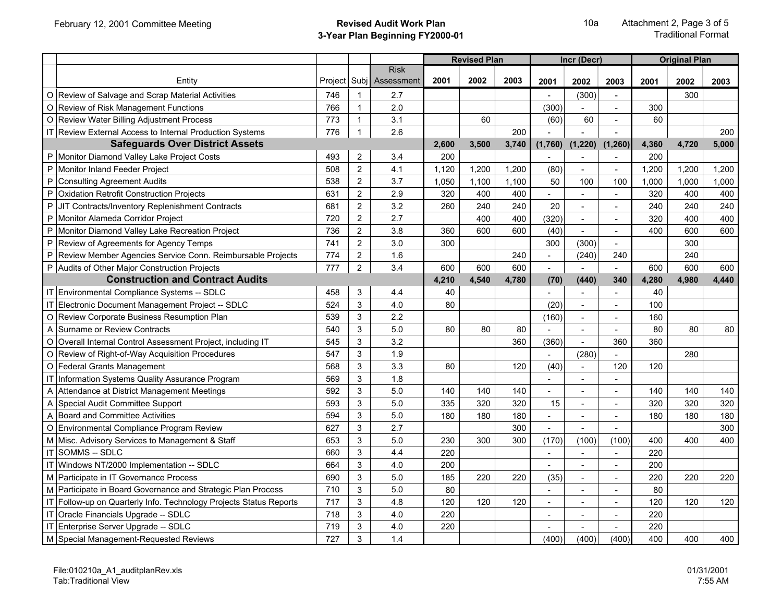|              |                                                                 |     |                |                                        |       | <b>Revised Plan</b> |       |                           | Incr (Decr)              |                          |       | <b>Original Plan</b> |       |
|--------------|-----------------------------------------------------------------|-----|----------------|----------------------------------------|-------|---------------------|-------|---------------------------|--------------------------|--------------------------|-------|----------------------|-------|
|              | Entity                                                          |     |                | <b>Risk</b><br>Project Subj Assessment | 2001  | 2002                | 2003  | 2001                      | 2002                     | 2003                     | 2001  | 2002                 | 2003  |
|              | O Review of Salvage and Scrap Material Activities               | 746 | 1              | 2.7                                    |       |                     |       |                           | (300)                    |                          |       | 300                  |       |
| O            | Review of Risk Management Functions                             | 766 | $\mathbf{1}$   | 2.0                                    |       |                     |       | (300)                     |                          | $\overline{a}$           | 300   |                      |       |
|              | O Review Water Billing Adjustment Process                       | 773 | $\mathbf{1}$   | 3.1                                    |       | 60                  |       | (60)                      | 60                       | $\overline{a}$           | 60    |                      |       |
|              | IT Review External Access to Internal Production Systems        | 776 | $\mathbf{1}$   | 2.6                                    |       |                     | 200   |                           |                          |                          |       |                      | 200   |
|              | <b>Safeguards Over District Assets</b>                          |     |                |                                        | 2,600 | 3,500               | 3,740 | (1,760)                   | (1, 220)                 | (1, 260)                 | 4,360 | 4,720                | 5,000 |
| P            | Monitor Diamond Valley Lake Project Costs                       | 493 | $\overline{2}$ | 3.4                                    | 200   |                     |       |                           |                          | $\overline{a}$           | 200   |                      |       |
| P            | Monitor Inland Feeder Project                                   | 508 | $\overline{2}$ | 4.1                                    | 1,120 | 1,200               | 1,200 | (80)                      | $\sim$                   | ÷,                       | 1,200 | 1,200                | 1,200 |
| P            | <b>Consulting Agreement Audits</b>                              | 538 | $\overline{2}$ | 3.7                                    | 1,050 | 1,100               | 1,100 | 50                        | 100                      | 100                      | 1,000 | 1,000                | 1,000 |
| P            | Oxidation Retrofit Construction Projects                        | 631 | $\overline{2}$ | 2.9                                    | 320   | 400                 | 400   |                           |                          |                          | 320   | 400                  | 400   |
| ${\sf P}$    | JIT Contracts/Inventory Replenishment Contracts                 | 681 | $\overline{2}$ | 3.2                                    | 260   | 240                 | 240   | 20                        | $\sim$                   | $\sim$                   | 240   | 240                  | 240   |
| P            | Monitor Alameda Corridor Project                                | 720 | $\overline{2}$ | 2.7                                    |       | 400                 | 400   | (320)                     | $\mathbf{r}$             | $\overline{a}$           | 320   | 400                  | 400   |
| $\sf P$      | Monitor Diamond Valley Lake Recreation Project                  | 736 | $\overline{2}$ | 3.8                                    | 360   | 600                 | 600   | (40)                      |                          | $\overline{a}$           | 400   | 600                  | 600   |
| $\mathsf{P}$ | Review of Agreements for Agency Temps                           | 741 | $\overline{2}$ | 3.0                                    | 300   |                     |       | 300                       | (300)                    |                          |       | 300                  |       |
| $\mathsf{P}$ | Review Member Agencies Service Conn. Reimbursable Projects      | 774 | $\overline{2}$ | 1.6                                    |       |                     | 240   | $\mathbb{Z}^{\mathbb{Z}}$ | (240)                    | 240                      |       | 240                  |       |
|              | P Audits of Other Major Construction Projects                   | 777 | $\overline{2}$ | 3.4                                    | 600   | 600                 | 600   | $\overline{a}$            | $\overline{a}$           | $\overline{a}$           | 600   | 600                  | 600   |
|              | <b>Construction and Contract Audits</b>                         |     |                |                                        | 4,210 | 4,540               | 4,780 | (70)                      | (440)                    | 340                      | 4,280 | 4,980                | 4,440 |
|              | IT Environmental Compliance Systems -- SDLC                     | 458 | 3              | 4.4                                    | 40    |                     |       |                           |                          |                          | 40    |                      |       |
| IT           | Electronic Document Management Project -- SDLC                  | 524 | $\mathbf{3}$   | 4.0                                    | 80    |                     |       | (20)                      | $\blacksquare$           | $\overline{a}$           | 100   |                      |       |
|              | O Review Corporate Business Resumption Plan                     | 539 | $\mathbf{3}$   | 2.2                                    |       |                     |       | (160)                     | $\sim$                   | $\sim$                   | 160   |                      |       |
| A            | Surname or Review Contracts                                     | 540 | 3              | 5.0                                    | 80    | 80                  | 80    |                           | $\sim$                   |                          | 80    | 80                   | 80    |
| O            | Overall Internal Control Assessment Project, including IT       | 545 | 3              | 3.2                                    |       |                     | 360   | (360)                     | $\overline{a}$           | 360                      | 360   |                      |       |
| $\mathsf O$  | Review of Right-of-Way Acquisition Procedures                   | 547 | $\mathbf{3}$   | 1.9                                    |       |                     |       | $\mathbf{r}$              | (280)                    | $\overline{a}$           |       | 280                  |       |
|              | O Federal Grants Management                                     | 568 | $\mathbf{3}$   | 3.3                                    | 80    |                     | 120   | (40)                      | $\blacksquare$           | 120                      | 120   |                      |       |
|              | Information Systems Quality Assurance Program                   | 569 | 3              | 1.8                                    |       |                     |       |                           | $\sim$                   | $\overline{a}$           |       |                      |       |
| A            | Attendance at District Management Meetings                      | 592 | $\mathbf{3}$   | 5.0                                    | 140   | 140                 | 140   |                           | $\overline{a}$           | $\overline{a}$           | 140   | 140                  | 140   |
| A            | Special Audit Committee Support                                 | 593 | $\mathbf{3}$   | 5.0                                    | 335   | 320                 | 320   | 15                        | $\sim$                   | $\overline{a}$           | 320   | 320                  | 320   |
| Α            | <b>Board and Committee Activities</b>                           | 594 | $\mathbf{3}$   | 5.0                                    | 180   | 180                 | 180   |                           | $\overline{a}$           | $\overline{a}$           | 180   | 180                  | 180   |
|              | O Environmental Compliance Program Review                       | 627 | $\mathbf{3}$   | 2.7                                    |       |                     | 300   | $\blacksquare$            |                          |                          |       |                      | 300   |
|              | M Misc. Advisory Services to Management & Staff                 | 653 | $\mathbf{3}$   | 5.0                                    | 230   | 300                 | 300   | (170)                     | (100)                    | (100)                    | 400   | 400                  | 400   |
| IT           | <b>SOMMS -- SDLC</b>                                            | 660 | $\mathbf{3}$   | 4.4                                    | 220   |                     |       | $\mathbb{Z}^+$            |                          | $\overline{a}$           | 220   |                      |       |
| IT           | Windows NT/2000 Implementation -- SDLC                          | 664 | $\mathbf{3}$   | 4.0                                    | 200   |                     |       | $\sim$                    | $\blacksquare$           | $\overline{a}$           | 200   |                      |       |
|              | M Participate in IT Governance Process                          | 690 | 3              | 5.0                                    | 185   | 220                 | 220   | (35)                      | $\blacksquare$           | $\overline{a}$           | 220   | 220                  | 220   |
|              | M Participate in Board Governance and Strategic Plan Process    | 710 | 3              | 5.0                                    | 80    |                     |       |                           |                          | $\overline{\phantom{a}}$ | 80    |                      |       |
| IT           | Follow-up on Quarterly Info. Technology Projects Status Reports | 717 | 3              | 4.8                                    | 120   | 120                 | 120   | $\blacksquare$            | L.                       | $\overline{a}$           | 120   | 120                  | 120   |
| IT           | Oracle Financials Upgrade -- SDLC                               | 718 | $\mathbf{3}$   | 4.0                                    | 220   |                     |       |                           | $\overline{\phantom{a}}$ | $\overline{\phantom{a}}$ | 220   |                      |       |
|              | IT Enterprise Server Upgrade -- SDLC                            | 719 | 3              | 4.0                                    | 220   |                     |       |                           |                          |                          | 220   |                      |       |
|              | M Special Management-Requested Reviews                          | 727 | 3              | 1.4                                    |       |                     |       | (400)                     | (400)                    | (400)                    | 400   | 400                  | 400   |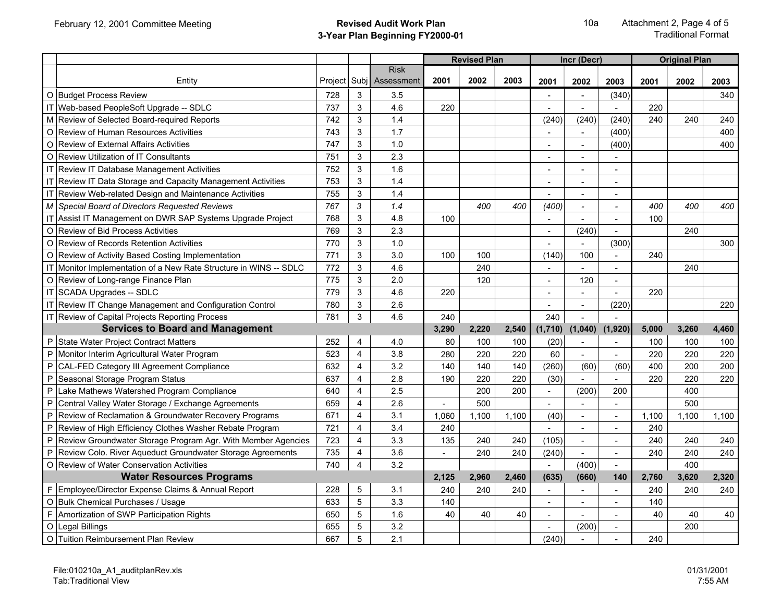|           |                                                                   |         |                         |                                |       | <b>Revised Plan</b> |       |                | Incr (Decr)    |                          |       | <b>Original Plan</b> |       |
|-----------|-------------------------------------------------------------------|---------|-------------------------|--------------------------------|-------|---------------------|-------|----------------|----------------|--------------------------|-------|----------------------|-------|
|           | Entity                                                            | Project |                         | <b>Risk</b><br>Subj Assessment | 2001  | 2002                | 2003  | 2001           | 2002           | 2003                     | 2001  | 2002                 | 2003  |
|           | O Budget Process Review                                           | 728     | 3                       | 3.5                            |       |                     |       |                |                | (340)                    |       |                      | 340   |
|           | IT Web-based PeopleSoft Upgrade -- SDLC                           | 737     | 3                       | 4.6                            | 220   |                     |       |                | $\sim$         | $\blacksquare$           | 220   |                      |       |
|           | M Review of Selected Board-required Reports                       | 742     | 3                       | 1.4                            |       |                     |       | (240)          | (240)          | (240)                    | 240   | 240                  | 240   |
| O         | <b>Review of Human Resources Activities</b>                       | 743     | 3                       | 1.7                            |       |                     |       | $\sim$         |                | (400)                    |       |                      | 400   |
| $\circ$   | <b>Review of External Affairs Activities</b>                      | 747     | 3                       | 1.0                            |       |                     |       |                |                | (400)                    |       |                      | 400   |
| $\circ$   | <b>Review Utilization of IT Consultants</b>                       | 751     | 3                       | 2.3                            |       |                     |       | $\sim$         |                |                          |       |                      |       |
|           | IT Review IT Database Management Activities                       | 752     | 3                       | 1.6                            |       |                     |       | $\blacksquare$ | $\overline{a}$ | $\overline{a}$           |       |                      |       |
|           | IT Review IT Data Storage and Capacity Management Activities      | 753     | 3                       | 1.4                            |       |                     |       | $\sim$         | $\sim$         | $\blacksquare$           |       |                      |       |
|           | IT Review Web-related Design and Maintenance Activities           | 755     | 3                       | 1.4                            |       |                     |       |                |                | $\blacksquare$           |       |                      |       |
|           | M Special Board of Directors Requested Reviews                    | 767     | 3                       | 1.4                            |       | 400                 | 400   | (400)          | $\overline{a}$ | $\overline{a}$           | 400   | 400                  | 400   |
|           | IT Assist IT Management on DWR SAP Systems Upgrade Project        | 768     | 3                       | 4.8                            | 100   |                     |       | $\blacksquare$ | $\sim$         | $\blacksquare$           | 100   |                      |       |
| $\circ$   | Review of Bid Process Activities                                  | 769     | 3                       | 2.3                            |       |                     |       | $\sim$         | (240)          | $\blacksquare$           |       | 240                  |       |
| $\circ$   | Review of Records Retention Activities                            | 770     | 3                       | 1.0                            |       |                     |       |                |                | (300)                    |       |                      | 300   |
| $\circ$   | Review of Activity Based Costing Implementation                   | 771     | 3                       | 3.0                            | 100   | 100                 |       | (140)          | 100            | $\overline{a}$           | 240   |                      |       |
|           | IT Monitor Implementation of a New Rate Structure in WINS -- SDLC | 772     | $\mathbf{3}$            | 4.6                            |       | 240                 |       | $\mathbf{r}$   | $\overline{a}$ | $\overline{a}$           |       | 240                  |       |
|           | O Review of Long-range Finance Plan                               | 775     | 3                       | 2.0                            |       | 120                 |       | $\blacksquare$ | 120            | $\overline{\phantom{a}}$ |       |                      |       |
|           | IT SCADA Upgrades -- SDLC                                         | 779     | 3                       | 4.6                            | 220   |                     |       | $\blacksquare$ |                | $\overline{a}$           | 220   |                      |       |
|           | IT Review IT Change Management and Configuration Control          | 780     | 3                       | 2.6                            |       |                     |       |                | $\overline{a}$ | (220)                    |       |                      | 220   |
|           | IT Review of Capital Projects Reporting Process                   | 781     | $\mathbf{3}$            | 4.6                            | 240   |                     |       | 240            |                |                          |       |                      |       |
|           | <b>Services to Board and Management</b>                           |         |                         |                                | 3,290 | 2,220               | 2,540 | (1,710)        | (1,040)        | (1,920)                  | 5,000 | 3,260                | 4,460 |
|           | P State Water Project Contract Matters                            | 252     | $\overline{4}$          | 4.0                            | 80    | 100                 | 100   | (20)           |                | ÷,                       | 100   | 100                  | 100   |
| P         | Monitor Interim Agricultural Water Program                        | 523     | $\overline{4}$          | 3.8                            | 280   | 220                 | 220   | 60             |                |                          | 220   | 220                  | 220   |
| P         | CAL-FED Category III Agreement Compliance                         | 632     | $\overline{4}$          | 3.2                            | 140   | 140                 | 140   | (260)          | (60)           | (60)                     | 400   | 200                  | 200   |
| P         | Seasonal Storage Program Status                                   | 637     | $\overline{4}$          | 2.8                            | 190   | 220                 | 220   | (30)           |                | $\overline{a}$           | 220   | 220                  | 220   |
| P         | Lake Mathews Watershed Program Compliance                         | 640     | $\overline{4}$          | 2.5                            |       | 200                 | 200   | $\blacksquare$ | (200)          | 200                      |       | 400                  |       |
| P         | Central Valley Water Storage / Exchange Agreements                | 659     | $\overline{4}$          | 2.6                            |       | 500                 |       |                |                |                          |       | 500                  |       |
| P         | Review of Reclamation & Groundwater Recovery Programs             | 671     | 4                       | 3.1                            | 1,060 | 1,100               | 1,100 | (40)           | $\sim$         | $\blacksquare$           | 1,100 | 1,100                | 1,100 |
| ${\sf P}$ | Review of High Efficiency Clothes Washer Rebate Program           | 721     | $\overline{4}$          | 3.4                            | 240   |                     |       |                | $\sim$         | $\blacksquare$           | 240   |                      |       |
| P         | Review Groundwater Storage Program Agr. With Member Agencies      | 723     | 4                       | 3.3                            | 135   | 240                 | 240   | (105)          | $\sim$         | $\overline{a}$           | 240   | 240                  | 240   |
| P         | Review Colo. River Aqueduct Groundwater Storage Agreements        | 735     | $\overline{\mathbf{4}}$ | 3.6                            |       | 240                 | 240   | (240)          |                | ÷,                       | 240   | 240                  | 240   |
|           | O Review of Water Conservation Activities                         | 740     | $\overline{4}$          | 3.2                            |       |                     |       |                | (400)          | $\overline{\phantom{a}}$ |       | 400                  |       |
|           | <b>Water Resources Programs</b>                                   |         |                         |                                | 2,125 | 2,960               | 2,460 | (635)          | (660)          | 140                      | 2.760 | 3.620                | 2,320 |
|           | F Employee/Director Expense Claims & Annual Report                | 228     | 5                       | 3.1                            | 240   | 240                 | 240   | $\blacksquare$ | $\overline{a}$ | $\overline{a}$           | 240   | 240                  | 240   |
|           | O Bulk Chemical Purchases / Usage                                 | 633     | 5                       | 3.3                            | 140   |                     |       | $\blacksquare$ |                | $\blacksquare$           | 140   |                      |       |
| F         | Amortization of SWP Participation Rights                          | 650     | 5                       | 1.6                            | 40    | 40                  | 40    | $\overline{a}$ |                | $\overline{a}$           | 40    | 40                   | 40    |
| O         | Legal Billings                                                    | 655     | 5                       | 3.2                            |       |                     |       |                | (200)          | $\sim$                   |       | 200                  |       |
|           | O Tuition Reimbursement Plan Review                               | 667     | 5                       | 2.1                            |       |                     |       | (240)          |                |                          | 240   |                      |       |